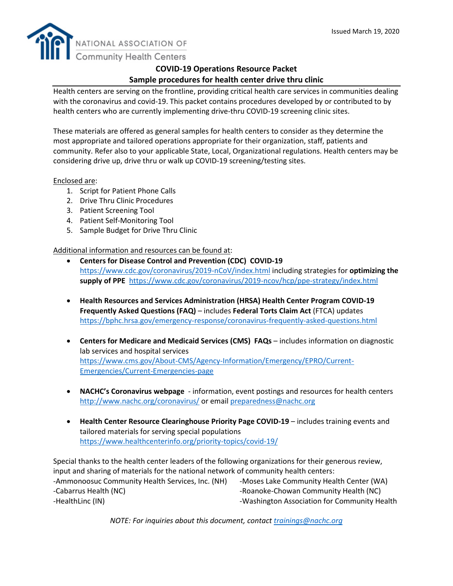

# **COVID-19 Operations Resource Packet Sample procedures for health center drive thru clinic**

Health centers are serving on the frontline, providing critical health care services in communities dealing with the coronavirus and covid-19. This packet contains procedures developed by or contributed to by health centers who are currently implementing drive-thru COVID-19 screening clinic sites.

These materials are offered as general samples for health centers to consider as they determine the most appropriate and tailored operations appropriate for their organization, staff, patients and community. Refer also to your applicable State, Local, Organizational regulations. Health centers may be considering drive up, drive thru or walk up COVID-19 screening/testing sites.

# Enclosed are:

- 1. Script for Patient Phone Calls
- 2. Drive Thru Clinic Procedures
- 3. Patient Screening Tool
- 4. Patient Self-Monitoring Tool
- 5. Sample Budget for Drive Thru Clinic

# Additional information and resources can be found at:

- **Centers for Disease Control and Prevention (CDC) COVID-19** <https://www.cdc.gov/coronavirus/2019-nCoV/index.html> including strategies for **optimizing the supply of PPE** <https://www.cdc.gov/coronavirus/2019-ncov/hcp/ppe-strategy/index.html>
- **Health Resources and Services Administration (HRSA) Health Center Program COVID-19 Frequently Asked Questions (FAQ)** – includes **Federal Torts Claim Act** (FTCA) updates <https://bphc.hrsa.gov/emergency-response/coronavirus-frequently-asked-questions.html>
- **Centers for Medicare and Medicaid Services (CMS) FAQs** includes information on diagnostic lab services and hospital services [https://www.cms.gov/About-CMS/Agency-Information/Emergency/EPRO/Current-](https://www.cms.gov/About-CMS/Agency-Information/Emergency/EPRO/Current-Emergencies/Current-Emergencies-page)[Emergencies/Current-Emergencies-page](https://www.cms.gov/About-CMS/Agency-Information/Emergency/EPRO/Current-Emergencies/Current-Emergencies-page)
- **NACHC's Coronavirus webpage** information, event postings and resources for health centers <http://www.nachc.org/coronavirus/> or email [preparedness@nachc.org](mailto:preparedness@nachc.org)
- **Health Center Resource Clearinghouse Priority Page COVID-19** includes training events and tailored materials for serving special populations <https://www.healthcenterinfo.org/priority-topics/covid-19/>

Special thanks to the health center leaders of the following organizations for their generous review, input and sharing of materials for the national network of community health centers: -Ammonoosuc Community Health Services, Inc. (NH) -Moses Lake Community Health Center (WA) -Cabarrus Health (NC) - The Cabarrus Health (NC) - Roanoke-Chowan Community Health (NC) -HealthLinc (IN) **-Washington Association for Community Health** 

*NOTE: For inquiries about this document, contact [trainings@nachc.org](mailto:trainings@nachc.org)*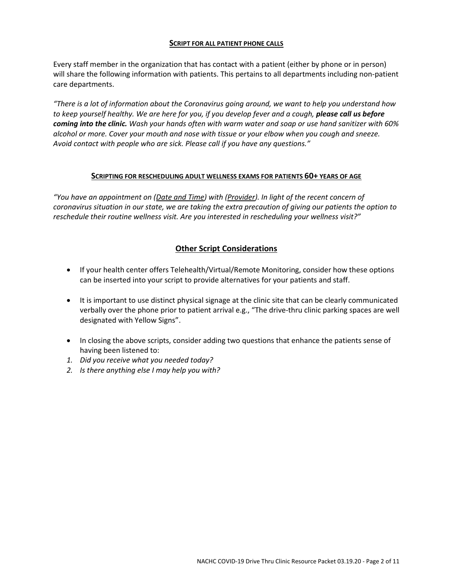#### **SCRIPT FOR ALL PATIENT PHONE CALLS**

Every staff member in the organization that has contact with a patient (either by phone or in person) will share the following information with patients. This pertains to all departments including non-patient care departments.

*"There is a lot of information about the Coronavirus going around, we want to help you understand how*  to keep yourself healthy. We are here for you, if you develop fever and a cough, **please call us before** *coming into the clinic. Wash your hands often with warm water and soap or use hand sanitizer with 60% alcohol or more. Cover your mouth and nose with tissue or your elbow when you cough and sneeze. Avoid contact with people who are sick. Please call if you have any questions."*

#### **SCRIPTING FOR RESCHEDULING ADULT WELLNESS EXAMS FOR PATIENTS 60+ YEARS OF AGE**

*"You have an appointment on (Date and Time) with (Provider). In light of the recent concern of coronavirus situation in our state, we are taking the extra precaution of giving our patients the option to reschedule their routine wellness visit. Are you interested in rescheduling your wellness visit?"*

# **Other Script Considerations**

- If your health center offers Telehealth/Virtual/Remote Monitoring, consider how these options can be inserted into your script to provide alternatives for your patients and staff.
- It is important to use distinct physical signage at the clinic site that can be clearly communicated verbally over the phone prior to patient arrival e.g., "The drive-thru clinic parking spaces are well designated with Yellow Signs".
- In closing the above scripts, consider adding two questions that enhance the patients sense of having been listened to:
- *1. Did you receive what you needed today?*
- *2. Is there anything else I may help you with?*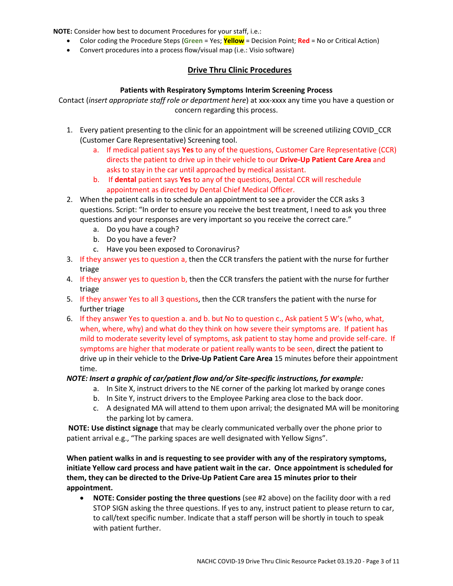**NOTE:** Consider how best to document Procedures for your staff, i.e.:

- Color coding the Procedure Steps (**Green** = Yes; **Yellow** = Decision Point; **Red** = No or Critical Action)
- Convert procedures into a process flow/visual map (i.e.: Visio software)

# **Drive Thru Clinic Procedures**

#### **Patients with Respiratory Symptoms Interim Screening Process**

Contact (*insert appropriate staff role or department here*) at xxx-xxxx any time you have a question or concern regarding this process.

- 1. Every patient presenting to the clinic for an appointment will be screened utilizing COVID\_CCR (Customer Care Representative) Screening tool.
	- a. If medical patient says **Yes** to any of the questions, Customer Care Representative (CCR) directs the patient to drive up in their vehicle to our **Drive-Up Patient Care Area** and asks to stay in the car until approached by medical assistant.
	- b. If **dental** patient says **Yes** to any of the questions, Dental CCR will reschedule appointment as directed by Dental Chief Medical Officer.
- 2. When the patient calls in to schedule an appointment to see a provider the CCR asks 3 questions. Script: "In order to ensure you receive the best treatment, I need to ask you three questions and your responses are very important so you receive the correct care."
	- a. Do you have a cough?
	- b. Do you have a fever?
	- c. Have you been exposed to Coronavirus?
- 3. If they answer yes to question a, then the CCR transfers the patient with the nurse for further triage
- 4. If they answer yes to question b, then the CCR transfers the patient with the nurse for further triage
- 5. If they answer Yes to all 3 questions, then the CCR transfers the patient with the nurse for further triage
- 6. If they answer Yes to question a. and b. but No to question c., Ask patient 5 W's (who, what, when, where, why) and what do they think on how severe their symptoms are. If patient has mild to moderate severity level of symptoms, ask patient to stay home and provide self-care. If symptoms are higher that moderate or patient really wants to be seen, direct the patient to drive up in their vehicle to the **Drive-Up Patient Care Area** 15 minutes before their appointment time.

#### *NOTE: Insert a graphic of car/patient flow and/or Site-specific instructions, for example:*

- a. In Site X, instruct drivers to the NE corner of the parking lot marked by orange cones
- b. In Site Y, instruct drivers to the Employee Parking area close to the back door.
- c. A designated MA will attend to them upon arrival; the designated MA will be monitoring the parking lot by camera.

**NOTE: Use distinct signage** that may be clearly communicated verbally over the phone prior to patient arrival e.g., "The parking spaces are well designated with Yellow Signs".

**When patient walks in and is requesting to see provider with any of the respiratory symptoms, initiate Yellow card process and have patient wait in the car. Once appointment is scheduled for them, they can be directed to the Drive-Up Patient Care area 15 minutes prior to their appointment.** 

• **NOTE: Consider posting the three questions** (see #2 above) on the facility door with a red STOP SIGN asking the three questions. If yes to any, instruct patient to please return to car, to call/text specific number. Indicate that a staff person will be shortly in touch to speak with patient further.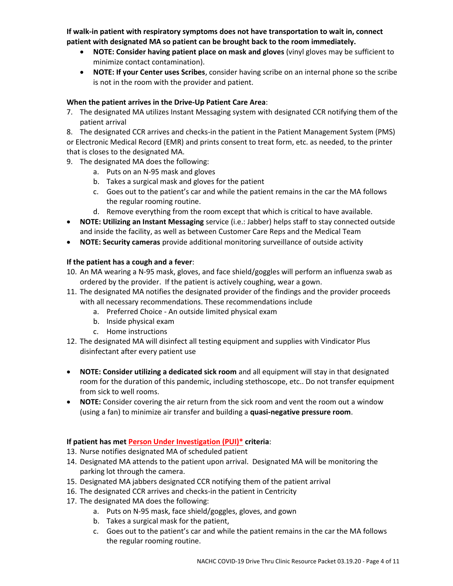**If walk-in patient with respiratory symptoms does not have transportation to wait in, connect patient with designated MA so patient can be brought back to the room immediately.** 

- **NOTE: Consider having patient place on mask and gloves** (vinyl gloves may be sufficient to minimize contact contamination).
- **NOTE: If your Center uses Scribes**, consider having scribe on an internal phone so the scribe is not in the room with the provider and patient.

### **When the patient arrives in the Drive-Up Patient Care Area**:

- 7. The designated MA utilizes Instant Messaging system with designated CCR notifying them of the patient arrival
- 8. The designated CCR arrives and checks-in the patient in the Patient Management System (PMS)

or Electronic Medical Record (EMR) and prints consent to treat form, etc. as needed, to the printer that is closes to the designated MA.

- 9. The designated MA does the following:
	- a. Puts on an N-95 mask and gloves
	- b. Takes a surgical mask and gloves for the patient
	- c. Goes out to the patient's car and while the patient remains in the car the MA follows the regular rooming routine.
	- d. Remove everything from the room except that which is critical to have available.
- **NOTE: Utilizing an Instant Messaging** service (i.e.: Jabber) helps staff to stay connected outside and inside the facility, as well as between Customer Care Reps and the Medical Team
- **NOTE: Security cameras** provide additional monitoring surveillance of outside activity

## **If the patient has a cough and a fever**:

- 10. An MA wearing a N-95 mask, gloves, and face shield/goggles will perform an influenza swab as ordered by the provider. If the patient is actively coughing, wear a gown.
- 11. The designated MA notifies the designated provider of the findings and the provider proceeds with all necessary recommendations. These recommendations include
	- a. Preferred Choice An outside limited physical exam
	- b. Inside physical exam
	- c. Home instructions
- 12. The designated MA will disinfect all testing equipment and supplies with Vindicator Plus disinfectant after every patient use
- **NOTE: Consider utilizing a dedicated sick room** and all equipment will stay in that designated room for the duration of this pandemic, including stethoscope, etc.. Do not transfer equipment from sick to well rooms.
- **NOTE:** Consider covering the air return from the sick room and vent the room out a window (using a fan) to minimize air transfer and building a **quasi-negative pressure room**.

# **If patient has met Person Under Investigation (PUI)\* criteria**:

- 13. Nurse notifies designated MA of scheduled patient
- 14. Designated MA attends to the patient upon arrival. Designated MA will be monitoring the parking lot through the camera.
- 15. Designated MA jabbers designated CCR notifying them of the patient arrival
- 16. The designated CCR arrives and checks-in the patient in Centricity
- 17. The designated MA does the following:
	- a. Puts on N-95 mask, face shield/goggles, gloves, and gown
	- b. Takes a surgical mask for the patient,
	- c. Goes out to the patient's car and while the patient remains in the car the MA follows the regular rooming routine.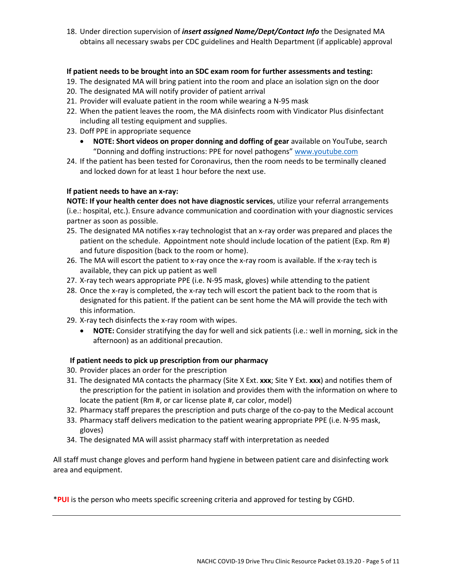18. Under direction supervision of *insert assigned Name/Dept/Contact Info* the Designated MA obtains all necessary swabs per CDC guidelines and Health Department (if applicable) approval

## **If patient needs to be brought into an SDC exam room for further assessments and testing:**

- 19. The designated MA will bring patient into the room and place an isolation sign on the door
- 20. The designated MA will notify provider of patient arrival
- 21. Provider will evaluate patient in the room while wearing a N-95 mask
- 22. When the patient leaves the room, the MA disinfects room with Vindicator Plus disinfectant including all testing equipment and supplies.
- 23. Doff PPE in appropriate sequence
	- **NOTE: Short videos on proper donning and doffing of gear** available on YouTube, search "Donning and doffing instructions: PPE for novel pathogens" [www.youtube.com](http://www.youtube.com/)
- 24. If the patient has been tested for Coronavirus, then the room needs to be terminally cleaned and locked down for at least 1 hour before the next use.

## **If patient needs to have an x-ray:**

**NOTE: If your health center does not have diagnostic services**, utilize your referral arrangements (i.e.: hospital, etc.). Ensure advance communication and coordination with your diagnostic services partner as soon as possible.

- 25. The designated MA notifies x-ray technologist that an x-ray order was prepared and places the patient on the schedule. Appointment note should include location of the patient (Exp. Rm #) and future disposition (back to the room or home).
- 26. The MA will escort the patient to x-ray once the x-ray room is available. If the x-ray tech is available, they can pick up patient as well
- 27. X-ray tech wears appropriate PPE (i.e. N-95 mask, gloves) while attending to the patient
- 28. Once the x-ray is completed, the x-ray tech will escort the patient back to the room that is designated for this patient. If the patient can be sent home the MA will provide the tech with this information.
- 29. X-ray tech disinfects the x-ray room with wipes.
	- **NOTE:** Consider stratifying the day for well and sick patients (i.e.: well in morning, sick in the afternoon) as an additional precaution.

# **If patient needs to pick up prescription from our pharmacy**

- 30. Provider places an order for the prescription
- 31. The designated MA contacts the pharmacy (Site X Ext. **xxx**; Site Y Ext. **xxx**) and notifies them of the prescription for the patient in isolation and provides them with the information on where to locate the patient (Rm #, or car license plate #, car color, model)
- 32. Pharmacy staff prepares the prescription and puts charge of the co-pay to the Medical account
- 33. Pharmacy staff delivers medication to the patient wearing appropriate PPE (i.e. N-95 mask, gloves)
- 34. The designated MA will assist pharmacy staff with interpretation as needed

All staff must change gloves and perform hand hygiene in between patient care and disinfecting work area and equipment.

\***PUI** is the person who meets specific screening criteria and approved for testing by CGHD.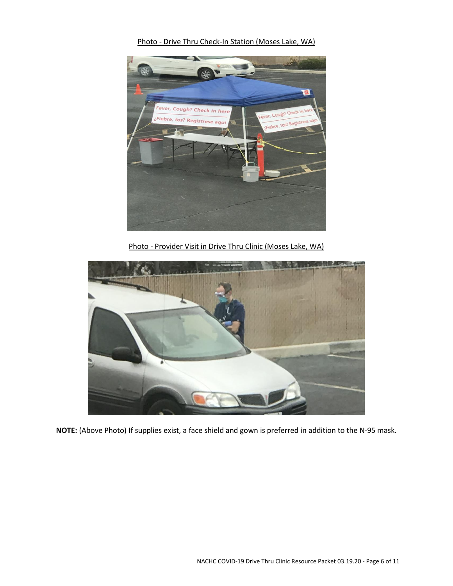Photo - Drive Thru Check-In Station (Moses Lake, WA)



Photo - Provider Visit in Drive Thru Clinic (Moses Lake, WA)



**NOTE:** (Above Photo) If supplies exist, a face shield and gown is preferred in addition to the N-95 mask.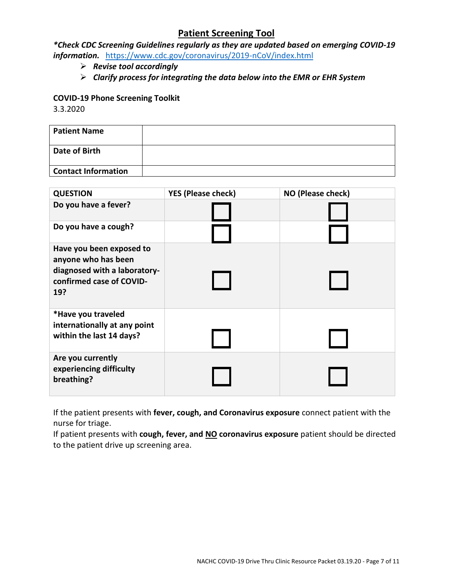# **Patient Screening Tool**

*\*Check CDC Screening Guidelines regularly as they are updated based on emerging COVID-19 information.* <https://www.cdc.gov/coronavirus/2019-nCoV/index.html>

- ➢ *Revise tool accordingly*
- ➢ *Clarify process for integrating the data below into the EMR or EHR System*

## **COVID-19 Phone Screening Toolkit**

3.3.2020

| <b>Patient Name</b>        |  |
|----------------------------|--|
| Date of Birth              |  |
| <b>Contact Information</b> |  |

| <b>QUESTION</b>                                                                                                    | <b>YES (Please check)</b> | NO (Please check) |
|--------------------------------------------------------------------------------------------------------------------|---------------------------|-------------------|
| Do you have a fever?                                                                                               |                           |                   |
| Do you have a cough?                                                                                               |                           |                   |
| Have you been exposed to<br>anyone who has been<br>diagnosed with a laboratory-<br>confirmed case of COVID-<br>19? |                           |                   |
| *Have you traveled<br>internationally at any point<br>within the last 14 days?                                     |                           |                   |
| Are you currently<br>experiencing difficulty<br>breathing?                                                         |                           |                   |

If the patient presents with **fever, cough, and Coronavirus exposure** connect patient with the nurse for triage.

If patient presents with **cough, fever, and NO coronavirus exposure** patient should be directed to the patient drive up screening area.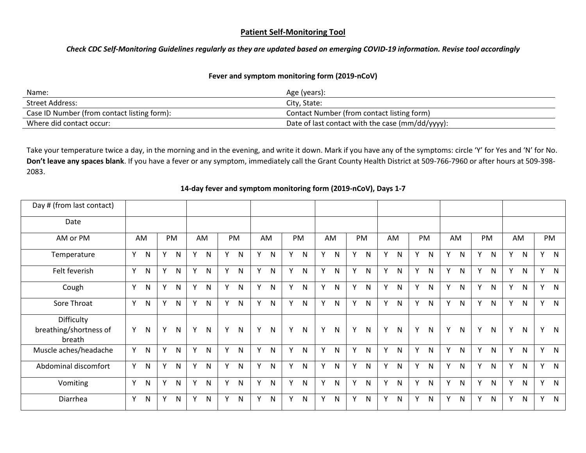### **Patient Self-Monitoring Tool**

*Check CDC Self-Monitoring Guidelines regularly as they are updated based on emerging COVID-19 information. Revise tool accordingly*

### **Fever and symptom monitoring form (2019-nCoV)**

| Name:                                       | Age (years):                                     |
|---------------------------------------------|--------------------------------------------------|
| Street Address:                             | City, State:                                     |
| Case ID Number (from contact listing form): | Contact Number (from contact listing form)       |
| Where did contact occur:                    | Date of last contact with the case (mm/dd/yyyy): |

Take your temperature twice a day, in the morning and in the evening, and write it down. Mark if you have any of the symptoms: circle 'Y' for Yes and 'N' for No. **Don't leave any spaces blank**. If you have a fever or any symptom, immediately call the Grant County Health District at 509-766-7960 or after hours at 509-398- 2083.

| Day # (from last contact)                      |   |              |    |              |    |              |   |                |              |              |   |              |   |              |   |              |   |              |   |              |   |              |   |              |   |              |   |              |
|------------------------------------------------|---|--------------|----|--------------|----|--------------|---|----------------|--------------|--------------|---|--------------|---|--------------|---|--------------|---|--------------|---|--------------|---|--------------|---|--------------|---|--------------|---|--------------|
| Date                                           |   |              |    |              |    |              |   |                |              |              |   |              |   |              |   |              |   |              |   |              |   |              |   |              |   |              |   |              |
| AM or PM                                       |   | AM           |    | PM           |    | AM           |   | PM             |              | AM           |   | <b>PM</b>    |   | AM           |   | PM           |   | AM           |   | PM           |   | AM           |   | PM           |   | AM           |   | PM           |
| Temperature                                    | Y | N            | Y  | N            | Y  | N            | Y | $\mathsf{N}$   | $\mathsf{v}$ | N            | Y | ${\sf N}$    | Y | N            | Y | N            | Y | N            | Y | ${\sf N}$    | Y | $\mathsf{N}$ | Y | N            | Υ | $\mathsf{N}$ | Y | $\mathsf{N}$ |
| Felt feverish                                  | Y | $\mathsf{N}$ | Y. | N            | Y  | $\mathsf{N}$ | Y | $\mathsf{N}$   | Υ            | $\mathsf{N}$ | Y | N            | Y | $\mathsf{N}$ | Y | N            | Y | $\mathsf{N}$ | Y | N            | Y | $\mathsf{N}$ | Y | $\mathsf{N}$ | Y | $\mathsf{N}$ | Y | $\mathsf{N}$ |
| Cough                                          | Υ | N            | Y  | N            | Y  | N            | Y | N              | Y            | N            | Υ | $\mathsf{N}$ | Y | N            | Y | N            | Y | N            | Y | ${\sf N}$    | Y | N            | Y | N            | Υ | $\mathsf{N}$ | Y | $\mathsf{N}$ |
| Sore Throat                                    | Y | N            | Y  | N            | Y  | $\mathsf{N}$ | Y | N              | Y            | N            | Y | N            | Y | N            | Y | N            | Y | N            | Y | ${\sf N}$    | Y | N            | Y | N            | Υ | $\mathsf{N}$ | Y | $\mathsf{N}$ |
| Difficulty<br>breathing/shortness of<br>breath | Y | N            | Y  | N            | Υ  | N            | Υ | $\mathsf{N}$   | Y            | $\mathsf{N}$ | Υ | ${\sf N}$    | Y | N            | Y | N            | Y | N            | Y | $\mathsf{N}$ | Y | N            | Y | $\mathsf{N}$ | Υ | $\mathsf{N}$ | Y | $\mathsf{N}$ |
| Muscle aches/headache                          | Υ | N            | Y. | N            | Y  | $\mathsf{N}$ | Y | $\overline{N}$ | Y            | N            | Υ | ${\sf N}$    | Y | N            | Y | N            | Y | N            | Y | ${\sf N}$    | Υ | $\mathsf{N}$ | Y | $\mathsf{N}$ | Y | $\mathsf{N}$ | Y | $\mathsf{N}$ |
| Abdominal discomfort                           | Y | N            | Y  | $\mathsf{N}$ | Y  | $\mathsf{N}$ | Y | $\mathsf{N}$   | Y            | ${\sf N}$    | Y | ${\sf N}$    | Y | N            | Y | $\mathsf{N}$ | Y | $\mathsf{N}$ | Y | ${\sf N}$    | Υ | N            | Y | $\mathsf{N}$ | Y | $\mathsf{N}$ | Y | $\mathsf{N}$ |
| Vomiting                                       | Y | N            | Y  | N            | Y. | $\mathsf{N}$ | Y | N              | Y            | N            | Y | ${\sf N}$    | Y | $\mathsf{N}$ | Y | N            | Y | $\mathsf{N}$ | Y | ${\sf N}$    | Y | $\mathsf{N}$ | Y | $\mathsf{N}$ | Y | $\mathsf{N}$ | Y | $\mathsf{N}$ |
| Diarrhea                                       | Y | $\mathsf{N}$ | Y  | ${\sf N}$    | Y  | $\mathsf{N}$ | Y | N              | Y            | ${\sf N}$    | Υ | N            | Y | $\mathsf{N}$ | Y | N            | Y | N            | Y | ${\sf N}$    | Υ | $\mathsf{N}$ | Y | ${\sf N}$    | Υ | ${\sf N}$    | Y | $\mathsf{N}$ |

#### **14-day fever and symptom monitoring form (2019-nCoV), Days 1-7**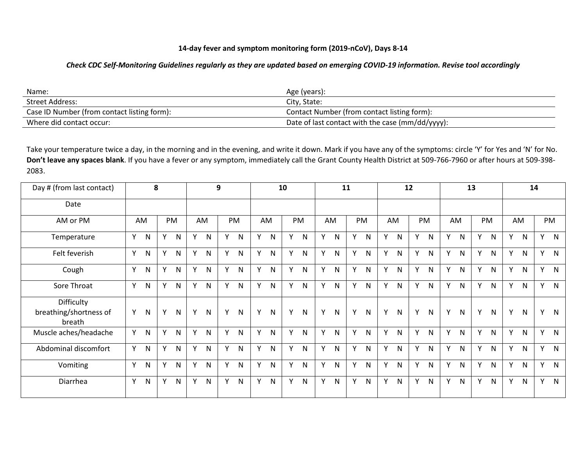## **14-day fever and symptom monitoring form (2019-nCoV), Days 8-14**

#### *Check CDC Self-Monitoring Guidelines regularly as they are updated based on emerging COVID-19 information. Revise tool accordingly*

| Name:                                       | Age (years):                                     |
|---------------------------------------------|--------------------------------------------------|
| Street Address:                             | City, State:                                     |
| Case ID Number (from contact listing form): | Contact Number (from contact listing form):      |
| Where did contact occur:                    | Date of last contact with the case (mm/dd/yyyy): |

Take your temperature twice a day, in the morning and in the evening, and write it down. Mark if you have any of the symptoms: circle 'Y' for Yes and 'N' for No. **Don't leave any spaces blank**. If you have a fever or any symptom, immediately call the Grant County Health District at 509-766-7960 or after hours at 509-398- 2083.

| Day # (from last contact)                      |   | 8            |   |              |   |              | 9 |              |   | 10           |   |              | 11 |              |   |              |   | 12           |   |              |              |              | 13 |              | 14 |              |   |              |
|------------------------------------------------|---|--------------|---|--------------|---|--------------|---|--------------|---|--------------|---|--------------|----|--------------|---|--------------|---|--------------|---|--------------|--------------|--------------|----|--------------|----|--------------|---|--------------|
| Date                                           |   |              |   |              |   |              |   |              |   |              |   |              |    |              |   |              |   |              |   |              |              |              |    |              |    |              |   |              |
| AM or PM                                       |   | AM           |   | PM           |   | AM           |   | <b>PM</b>    |   | AM           |   | PM           |    | AM           |   | PM           |   | AM           |   | PM           |              | AM           |    | PM           |    | AM           |   | PM           |
| Temperature                                    | Y | $\mathsf{N}$ | Y | N            | Y | N            | Υ | ${\sf N}$    | Y | $\mathsf{N}$ | Y | $\mathsf{N}$ | Y  | N            | Y | $\mathsf{N}$ | Y | $\mathsf{N}$ | Y | $\mathsf{N}$ | <b>V</b>     | $\mathsf{N}$ | Y  | N            | Y  | $\mathsf{N}$ | Y | $\mathsf{N}$ |
| Felt feverish                                  | Y | N            | Y | N            | Υ | $\mathsf{N}$ |   | ${\sf N}$    | Y | N            | Y | $\mathsf{N}$ | Y  | N            | Y | $\mathsf{N}$ | Y | $\mathsf{N}$ | Υ | $\mathsf{N}$ | $\mathsf{v}$ | $\mathsf{N}$ | Υ  | N            | Υ  | $\mathsf{N}$ | Y | $\mathsf{N}$ |
| Cough                                          | Y | N            | Y | N            | Y | N            | Y | $\mathsf{N}$ | Y | N            | Y | $\mathsf{N}$ | Y  | $\mathsf{N}$ | Y | N            | Υ | $\mathsf{N}$ | Υ | ${\sf N}$    | $\mathsf{v}$ | N            | Y  | N            | Y  | $\mathsf{N}$ | Y | $\mathsf{N}$ |
| Sore Throat                                    | Y | $\mathsf{N}$ | Y | N            | Y | N            | Y | ${\sf N}$    | Y | N            | Y | $\mathsf{N}$ | Y  | $\mathsf{N}$ | Y | N            | Y | ${\sf N}$    | Y | ${\sf N}$    | $\mathsf{v}$ | N            | Y  | N            | Y  | ${\sf N}$    | Y | $\mathsf{N}$ |
| Difficulty<br>breathing/shortness of<br>breath | Y | N            | Y | N            | Y | N            | Y | ${\sf N}$    | Y | ${\sf N}$    | Y | ${\sf N}$    | Y  | N            | Y | N            | Y | $\mathsf{N}$ | Y | $\mathsf{N}$ | Y            | N            | Y  | N            | Y  | ${\sf N}$    | Y | $\mathsf{N}$ |
| Muscle aches/headache                          | Y | $\mathsf{N}$ | Y | N            | Y | $\mathsf{N}$ | Y | ${\sf N}$    | Y | $\mathsf{N}$ | Y | $\mathsf{N}$ | Y  | $\mathsf{N}$ | Y | $\mathsf{N}$ | Y | $\mathsf{N}$ | Y | $\mathsf{N}$ | Y            | $\mathsf{N}$ | Y  | N            | Y  | $\mathsf{N}$ | Y | N            |
| Abdominal discomfort                           | Υ | N            | Y | $\mathsf{N}$ | Y | $\mathsf{N}$ | Υ | N            | Υ | N            | Y | $\mathsf{N}$ | Y  | N            | Y | N            | Y | $\mathsf{N}$ | Y | N            | Υ            | $\mathsf{N}$ | Y  | $\mathsf{N}$ | Υ  | $\mathsf{N}$ | Y | N            |
| Vomiting                                       | Y | N            | Y | N            | Y | N            | Υ | ${\sf N}$    | Υ | N            | Y | N            | Y  | N            | Y | N            | Υ | N            | Y | $\mathsf{N}$ | $\vee$       | N            | Y  | N            | Υ  | N            | Y | $\mathsf{N}$ |
| Diarrhea                                       | Y | $\mathsf{N}$ | Y | N            | Y | N            | Y | ${\sf N}$    | Y | N            | Y | ${\sf N}$    | Y  | $\mathsf{N}$ | Y | N            | Y | ${\sf N}$    | Y | ${\sf N}$    | Y            | N            | Y  | N            | Υ  | N            | Υ | $\mathsf{N}$ |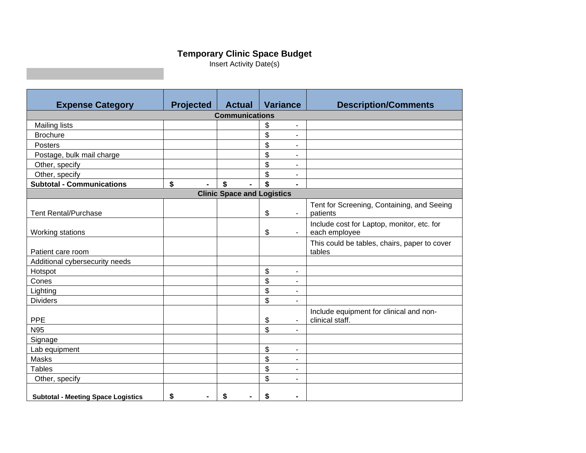# **Temporary Clinic Space Budget**

Insert Activity Date(s)

|                                           | <b>Projected</b>      | <b>Actual</b> | <b>Variance</b>                    | <b>Description/Comments</b>                  |  |  |  |  |  |  |  |  |  |
|-------------------------------------------|-----------------------|---------------|------------------------------------|----------------------------------------------|--|--|--|--|--|--|--|--|--|
| <b>Expense Category</b>                   | <b>Communications</b> |               |                                    |                                              |  |  |  |  |  |  |  |  |  |
|                                           |                       |               |                                    |                                              |  |  |  |  |  |  |  |  |  |
| <b>Mailing lists</b>                      |                       |               | \$<br>۰                            |                                              |  |  |  |  |  |  |  |  |  |
| <b>Brochure</b>                           |                       |               | \$<br>$\blacksquare$               |                                              |  |  |  |  |  |  |  |  |  |
| Posters                                   |                       |               | \$<br>۰                            |                                              |  |  |  |  |  |  |  |  |  |
| Postage, bulk mail charge                 |                       |               | \$<br>٠                            |                                              |  |  |  |  |  |  |  |  |  |
| Other, specify                            |                       |               | \$<br>-                            |                                              |  |  |  |  |  |  |  |  |  |
| Other, specify                            |                       |               | \$<br>٠                            |                                              |  |  |  |  |  |  |  |  |  |
| <b>Subtotal - Communications</b>          | \$<br>$\blacksquare$  | \$            | \$<br>$\blacksquare$               |                                              |  |  |  |  |  |  |  |  |  |
| <b>Clinic Space and Logistics</b>         |                       |               |                                    |                                              |  |  |  |  |  |  |  |  |  |
|                                           |                       |               |                                    | Tent for Screening, Containing, and Seeing   |  |  |  |  |  |  |  |  |  |
| <b>Tent Rental/Purchase</b>               |                       |               | \$<br>$\overline{\phantom{a}}$     | patients                                     |  |  |  |  |  |  |  |  |  |
|                                           |                       |               |                                    | Include cost for Laptop, monitor, etc. for   |  |  |  |  |  |  |  |  |  |
| Working stations                          |                       |               | \$<br>$\qquad \qquad \blacksquare$ | each employee                                |  |  |  |  |  |  |  |  |  |
|                                           |                       |               |                                    | This could be tables, chairs, paper to cover |  |  |  |  |  |  |  |  |  |
| Patient care room                         |                       |               |                                    | tables                                       |  |  |  |  |  |  |  |  |  |
| Additional cybersecurity needs            |                       |               |                                    |                                              |  |  |  |  |  |  |  |  |  |
| Hotspot                                   |                       |               | \$<br>٠                            |                                              |  |  |  |  |  |  |  |  |  |
| Cones                                     |                       |               | \$<br>٠                            |                                              |  |  |  |  |  |  |  |  |  |
| Lighting                                  |                       |               | \$<br>۰                            |                                              |  |  |  |  |  |  |  |  |  |
| <b>Dividers</b>                           |                       |               | \$<br>$\blacksquare$               |                                              |  |  |  |  |  |  |  |  |  |
|                                           |                       |               |                                    | Include equipment for clinical and non-      |  |  |  |  |  |  |  |  |  |
| <b>PPE</b>                                |                       |               | \$<br>۰                            | clinical staff.                              |  |  |  |  |  |  |  |  |  |
| N95                                       |                       |               | \$<br>۰                            |                                              |  |  |  |  |  |  |  |  |  |
| Signage                                   |                       |               |                                    |                                              |  |  |  |  |  |  |  |  |  |
| Lab equipment                             |                       |               | \$<br>$\overline{\phantom{a}}$     |                                              |  |  |  |  |  |  |  |  |  |
| Masks                                     |                       |               | \$<br>۰                            |                                              |  |  |  |  |  |  |  |  |  |
| <b>Tables</b>                             |                       |               | \$<br>۰                            |                                              |  |  |  |  |  |  |  |  |  |
| Other, specify                            |                       |               | \$<br>۰                            |                                              |  |  |  |  |  |  |  |  |  |
|                                           |                       |               |                                    |                                              |  |  |  |  |  |  |  |  |  |
| <b>Subtotal - Meeting Space Logistics</b> | \$                    | \$            | \$<br>-                            |                                              |  |  |  |  |  |  |  |  |  |